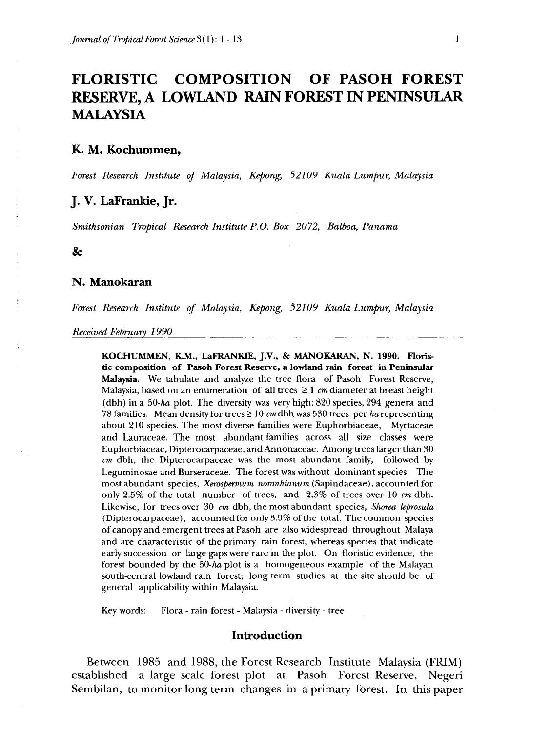# **FLORISTIC COMPOSITION OF PASOH FOREST RESERVE, A LOWLAND RAIN FOREST IN PENINSULAR MALAYSIA**

## **K. M. Kochummen,**

*Forest Research Institute of Malaysia, Kepong, 52109 Kuala Lumpur, Malaysia*

# **J. V. LaFrankie, Jr.**

*Smithsonian Tropical Research Institute P.O. Box 2072, Balboa, Panama*

&

#### **N. Manokaran**

*Forest Research Institute of Malaysia, Kepong, 52109 Kuala Lumpur, Malaysia*

*Received February 1990*\_\_\_\_\_\_\_\_\_\_\_\_\_\_\_\_\_\_\_\_\_\_\_\_\_\_\_\_\_\_\_\_\_\_\_\_\_\_\_\_\_\_

**KOCHUMMEN, K.M., LaFRANKIE, J.V., & MANOKARAN, N. 1990. Floristic composition of Pasoh Forest Reserve, a lowland rain forest in Peninsular Malaysia.** We tabulate and analyze the tree flora of Pasoh Forest Reserve, Malaysia, based on an enumeration of all trees  $\geq 1$  *cm* diameter at breast height (dbh) ina *50-ha* plot. The diversity was very high: 820 species, 294 genera and 78 families. Mean density for trees > 10 *cm* dbh was 530 trees per *ha* representing about 210 species. The most diverse families were Euphorbiaceae, Myrtaceae and Lauraceae. The most abundant families across all size classes were Euphorbiaceae, Dipterocarpaceae, and Annonaceae. Among trees larger than 30 *cm* dbh, the Dipterocarpaceae was the most abundant family, followed by Leguminosae and Burseraceae. The forest was without dominant species. The most abundant species, *Xerospermum noronhianum* (Sapindaceae), accounted for only 2.5% of the total number of trees, and 2.3% of trees over 10 *cm* dbh. Likewise, for trees over 30 *cm* dbh, the most abundant species, *Shorea leprosula* (Dipterocarpaceae), accounted for only 3.9% of the total. Thecommon species of canopy and emergent trees at Pasoh are also widespread throughout Malaya and are characteristic of the primary rain forest, whereas species that indicate early succession or large gaps were rare in the plot. On floristic evidence, the forest bounded by the *50-ha* plot is a homogeneous example of the Malayan south-central lowland rain forest; long term studies at the site should be of general applicability within Malaysia.

Key words: Flora - rain forest - Malaysia - diversity - tree

#### **Introduction**

Between 1985 and 1988, the Forest Research Institute Malaysia (FRIM) established a large scale forest plot at Pasoh Forest Reserve, Negeri Sembilan, to monitor long term changes in a primary forest. In this paper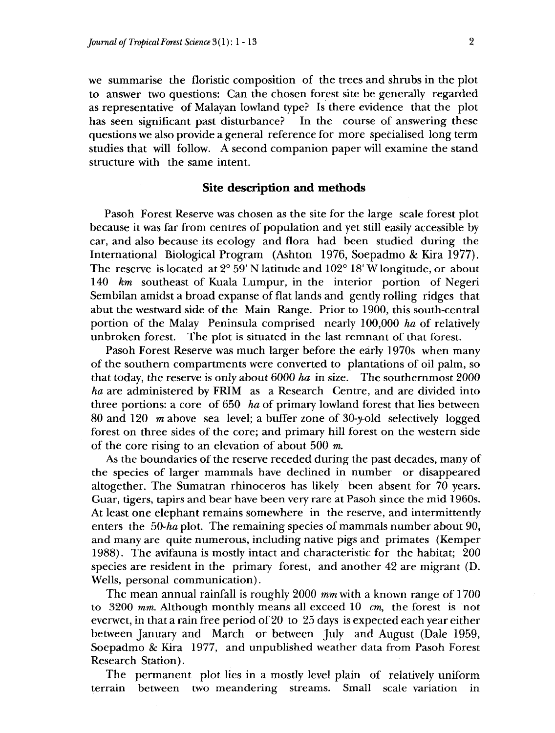we summarise the floristic composition of the trees and shrubs in the plot to answer two questions: Can the chosen forest site be generally regarded as representative of Malayan lowland type? Is there evidence that the plot has seen significant past disturbance? In the course of answering these questions we also provide a general reference for more specialised long term studies that will follow. A second companion paper will examine the stand structure with the same intent.

#### **Site description and methods**

Pasoh Forest Reserve was chosen as the site for the large scale forest plot because it was far from centres of population and yet still easily accessible by car, and also because its ecology and flora had been studied during the International Biological Program (Ashton 1976, Soepadmo & Kira 1977). The reserve is located at  $2^{\circ}$  59'N latitude and  $102^{\circ}$  18'W longitude, or about 140 *km* southeast of Kuala Lumpur, in the interior portion of Negeri Sembilan amidst a broad expanse of flat lands and gently rolling ridges that abut the westward side of the Main Range. Prior to 1900, this south-central portion of the Malay Peninsula comprised nearly 100,000 *ha* of relatively unbroken forest. The plot is situated in the last remnant of that forest.

Pasoh Forest Reserve was much larger before the early 1970s when many of the southern compartments were converted to plantations of oil palm, so that today, the reserve is only about 6000 *ha* in size. The southernmost 2000 *ha* are administered by FRIM as a Research Centre, and are divided into three portions: a core of 650 *ha* of primary lowland forest that lies between 80 and 120 *m* above sea level; a buffer zone of 30-y-old selectively logged forest on three sides of the core; and primary hill forest on the western side of the core rising to an elevation of about 500 *m.*

As the boundaries of the reserve receded during the past decades, many of the species of larger mammals have declined in number or disappeared altogether. The Sumatran rhinoceros has likely been absent for 70 years. Guar, tigers, tapirs and bear have been very rare at Pasoh since the mid 1960s. At least one elephant remains somewhere in the reserve, and intermittently enters the 50-ha plot. The remaining species of mammals number about 90, and many are quite numerous, including native pigs and primates (Kemper 1988). The avifauna is mostly intact and characteristic for the habitat; 200 species are resident in the primary forest, and another 42 are migrant (D. Wells, personal communication).

The mean annual rainfall is roughly 2000 *mm* with a known range of 1700 to 3200 *mm.* Although monthly means all exceed 10 *cm,* the forest is not everwet, in that a rain free period of 20 to 25 days is expected each year either between January and March or between July and August (Dale 1959, Soepadmo & Kira 1977, and unpublished weather data from Pasoh Forest Research Station).

The permanent plot lies in a mostly level plain of relatively uniform terrain between two meandering streams. Small scale variation in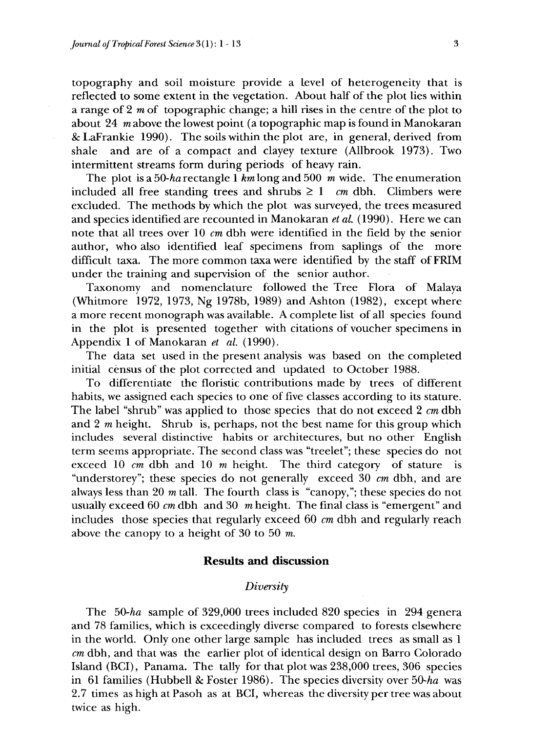topography and soil moisture provide a Level of heterogeneity that is reflected to some extent in the vegetation. About half of the plot lies within a range of 2 *m* of topographic change; a hill rises in the centre of the plot to about 24 *m* above the lowest point (a topographic map is found in Manokaran & LaFrankie 1990). The soils within the plot are, in general, derived from shale and are of a compact and clayey texture (Allbrook 1973). Two intermittent streams form during periods of heavy rain.

The plot is a *50-ha* rectangle 1 *km* long and 500 m wide. The enumeration included all free standing trees and shrubs  $\geq 1$  *cm* dbh. Climbers were excluded. The methods by which the plot was surveyed, the trees measured and species identified are recounted in Manokaran *et al* (1990). Here we can note that all trees over 10  $cm$  dbh were identified in the field by the senior author, who also identified leaf specimens from saplings of the more difficult taxa. The more common taxa were identified by the staff of FRIM under the training and supervision of the senior author.

Taxonomy and nomenclature followed the Tree Flora of Malaya (Whitmore 1972, 1973, Ng 1978b, 1989) and Ashton (1982), except where a more recent monograph was available. A complete list of all species found in the plot is presented together with citations of voucher specimens in Appendix 1 of Manokaran *et al.* (1990).

The data set used in the present analysis was based on the completed initial census of the plot corrected and updated to October 1988.

To differentiate the floristic contributions made by trees of different habits, we assigned each species to one of five classes according to its stature. The label "shrub" was applied to those species that do not exceed 2 *cm* dbh and 2 *m* height. Shrub is, perhaps, not the best name for this group which includes several distinctive habits or architectures, but no other English term seems appropriate. The second class was "treelet"; these species do not exceed 10 cm dbh and 10 m height. The third category of stature is "understorey"; these species do not generally exceed 30 *cm* dbh, and are always less than 20 *m* tall. The fourth class is "canopy,"; these species do not usually exceed 60  $cm$  dbh and 30  $m$  height. The final class is "emergent" and includes those species that regularly exceed 60 *cm* dbh and regularly reach above the canopy to a height of 30 to 50  $m$ .

## **Results and discussion**

# *Diversity*

The *50-ha* sample of 329,000 trees included 820 species in 294 genera and 78 families, which is exceedingly diverse compared to forests elsewhere in the world. Only one other large sample has included trees as small as 1 cm dbh, and that was the earlier plot of identical design on Barro Colorado Island (BCI), Panama. The tally for that plot was 238,000 trees, 306 species in 61 families (Hubbell & Foster 1986). The species diversity over 50-ha was 2.7 times as high at Pasoh as at BCI, whereas the diversity per tree was about twice as high.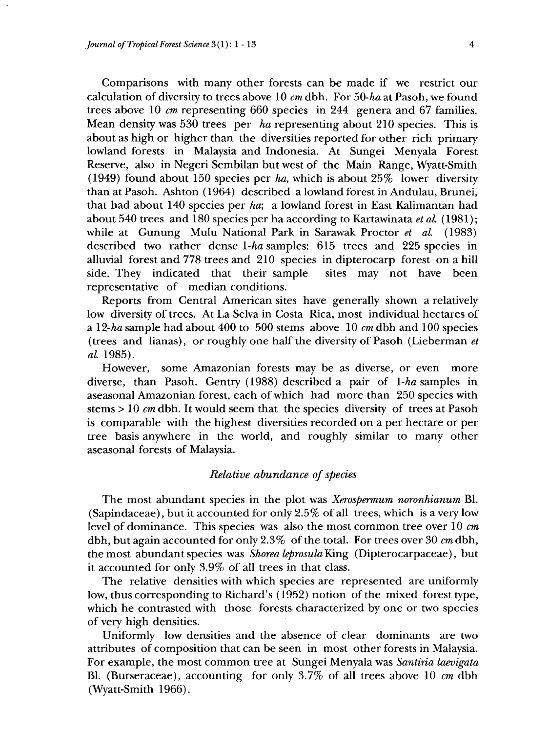Comparisons with many other forests can be made if we restrict our calculation of diversity to trees above 10 *cm* dbh. For 50-ha at Pasoh, we found trees above 10 *cm* representing 660 species in 244 genera and 67 families. Mean density was 530 trees per *ha* representing about 210 species. This is about as high or higher than the diversities reported for other rich primary lowland forests in Malaysia and Indonesia. At Sungei Menyala Forest Reserve, also in Negeri Sembilan but west of the Main Range, Wyatt-Smith (1949) found about 150 species per *ha,* which is about 25% lower diversity than at Pasoh. Ashton (1964) described a lowland forest in Andulau, Brunei, that had about 140 species per *ha;* a lowland forest in East Kalimantan had about 540 trees and 180 species per ha according to Kartawinata *et al.* (1981); while at Gunung Mulu National Park in Sarawak Proctor *et al.* (1983) described two rather dense *l-ha* samples: 615 trees and 225 species in alluvial forest and 778 trees and 210 species in dipterocarp forest on a hill side. They indicated that their sample sites may not have been representative of median conditions.

Reports from Central American sites have generally shown a relatively low diversity of trees. At La Selva in Costa Rica, most individual hectares of a 12-*ha* sample had about 400 to 500 stems above 10 cm dbh and 100 species (trees and lianas), or roughly one half the diversity of Pasoh (Lieberman *et al.* 1985).

However, some Amazonian forests may be as diverse, or even more diverse, than Pasoh. Gentry (1988) described a pair of *l-ha* samples in aseasonal Amazonian forest, each of which had more than 250 species with stems > 10 *cm* dbh. It would seem that the species diversity of trees at Pasoh is comparable with the highest diversities recorded on a per hectare or per tree basis anywhere in the world, and roughly similar to many other aseasonal forests of Malaysia.

#### *Relative abundance of species*

The most abundant species in the plot was *Xerospermum noronhianum* Bl. (Sapindaceae), but it accounted for only 2.5% of all trees, which is a very low level of dominance. This species was also the most common tree over 10 *cm* dbh, but again accounted for only 2.3% of the total. For trees over 30 *cm* dbh, the most abundant species was *Shorea leprosula* King (Dipterocarpaceae), but it accounted for only 3.9% of all trees in that class.

The relative densities with which species are represented are uniformly low, thus corresponding to Richard's (1952) notion of the mixed forest type, which he contrasted with those forests characterized by one or two species of very high densities.

Uniformly low densities and the absence of clear dominants are two attributes of composition that can be seen in most other forests in Malaysia. For example, the most common tree at Sungei Menyala was *Santiria laevigata* Bl. (Burseraceae), accounting for only 3.7% of all trees above 10 *cm* dbh (Wyatt-Smith 1966).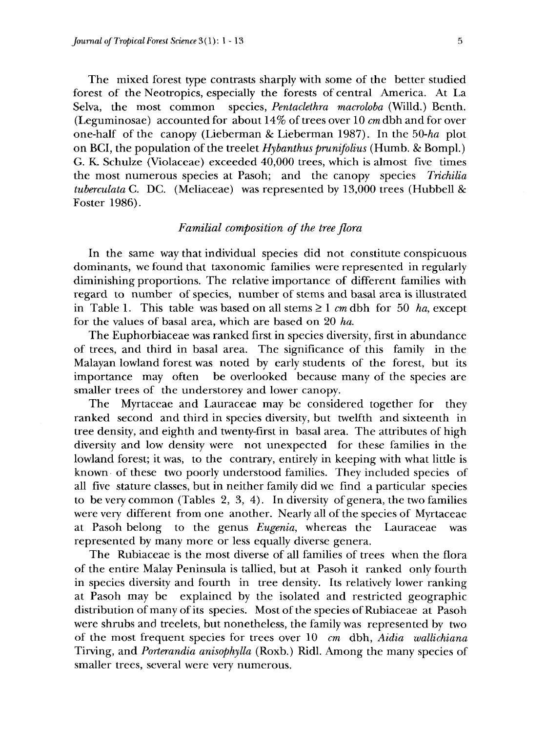The mixed forest type contrasts sharply with some of the better studied forest of the Neotropics, especially the forests of central America. At La Selva, the most common species, *Pentaclethra macroloba* (Willd.) Benth. (Leguminosae) accounted for about 14% of trees over 10 *cm* dbh and for over one-half of the canopy (Lieberman & Lieberman 1987). In the *50-ha* plot on BCI, the population of the treelet *Hybanthus prunifolius* (Humb. & Bompl.) G. K. Schulze (Violaceae) exceeded 40,000 trees, which is almost five times the most numerous species at Pasoh; and the canopy species *Trichilia tuberculata* C. DC. (Meliaceae) was represented by 13,000 trees (Hubbell & Foster 1986).

## *Familial composition of the tree flora*

In the same way that individual species did not constitute conspicuous dominants, we found that taxonomic families were represented in regularly diminishing proportions. The relative importance of different families with regard to number of species, number of stems and basal area is illustrated in Table 1. This table was based on all stems  $\geq 1$  *cm* dbh for 50 *ha*, except for the values of basal area, which are based on 20 *ha.*

The Euphorbiaceae was ranked first in species diversity, first in abundance of trees, and third in basal area. The significance of this family in the Malayan lowland forest was noted by early students of the forest, but its importance may often be overlooked because many of the species are smaller trees of the understorey and lower canopy.

The Myrtaceae and Lauraceae may be considered together for they ranked second and third in species diversity, but twelfth and sixteenth in tree density, and eighth and twenty-first in basal area. The attributes of high diversity and low density were not unexpected for these families in the lowland forest; it was, to the contrary, entirely in keeping with what little is known of these two poorly understood families. They included species of all five stature classes, but in neither family did we find a particular species to be very common (Tables 2, 3, 4). In diversity of genera, the two families were very different from one another. Nearly all of the species of Myrtaceae at Pasoh belong to the genus *Eugenia,* whereas the Lauraceae was represented by many more or less equally diverse genera.

The Rubiaceae is the most diverse of all families of trees when the flora of the entire Malay Peninsula is tallied, but at Pasoh it ranked only fourth in species diversity and fourth in tree density. Its relatively lower ranking at Pasoh may be explained by the isolated and restricted geographic distribution of many of its species. Most of the species of Rubiaceae at Pasoh were shrubs and treelets, but nonetheless, the family was represented by two of the most frequent species for trees over 10 *cm* dbh, *Aidia wallichiana* Tirving, and *Porterandia anisophylla* (Roxb.) Ridl. Among the many species of smaller trees, several were very numerous.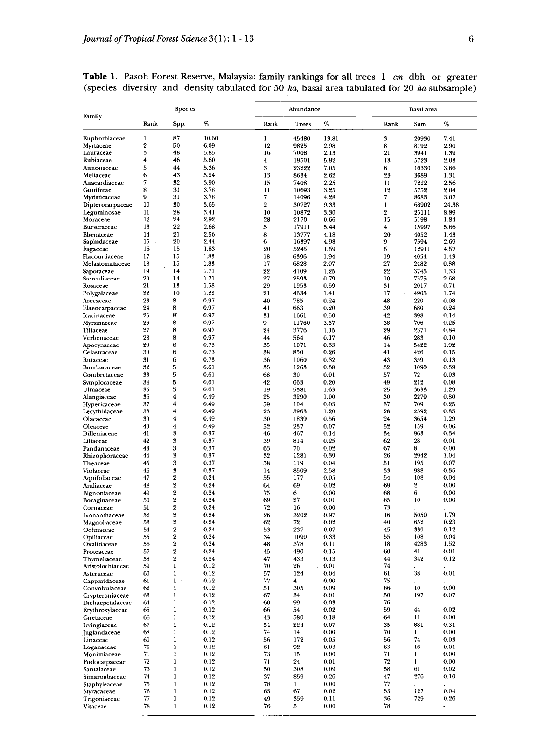|                              | Species        |                         |              | Abundance        |             |              | Basal area |             |               |
|------------------------------|----------------|-------------------------|--------------|------------------|-------------|--------------|------------|-------------|---------------|
| Family                       | Rank           | Spp.                    | %            | Rank             | Trees       | %            | Rank       | Sum         | $\%$          |
| Euphorbiaceae                | 1              | 87                      | 10.60        | 1                | 45480       | 13.81        | 3          | 20930       | 7.41          |
| Myrtaceae                    | $\overline{2}$ | 50                      | 6.09         | 12               | 9825        | 2.98         | 8          | 8192        | 2.90          |
| Lauraceae                    | 3              | 48                      | 5.85         | 16               | 7008        | 2.13         | 21         | 3941        | 1.39          |
| Rubiaceae                    | 4              | 46                      | 5.60         | 4                | 19501       | 5.92         | 13         | 5723        | 2.03          |
| Annonaceae                   | 5              | 44                      | 5.36         | 3                | 23222       | 7.05         | 6          | 10330       | 3.66          |
| Meliaceae                    | 6              | 43                      | 5.24         | 13               | 8634        | 2.62         | 23         | 3689        | 1.31          |
| Anacardiaceae                | 7              | 32                      | 3.90         | 15               | 7408        | 2.25         | 11         | 7222        | 2.56          |
| Guttiferae                   | 8              | 31                      | 3.78         | 11               | 10693       | 3.25         | 12         | 5752        | 2.04          |
| Myristicaceae                | 9              | 31                      | 3.78         | 7                | 14096       | 4.28         | 7          | 8683        | 3.07          |
| Dipterocarpaceae             | 10             | 30                      | 3.65         | $\boldsymbol{2}$ | 30727       | 9.33         | 1          | 68902       | 24.38         |
| Leguminosae                  | 11             | 28                      | 3.41         | 10               | 10872       | 3.30         | 2          | 25111       | 8.89          |
| Moraceae                     | 12             | 24                      | 2.92         | 28               | 2170        | 0.66         | 15         | 5198        | 1.84          |
| Burseraceae                  | 13             | 22                      | 2.68         | 5                | 17911       | 5.44         | 4          | 15997       | 5.66          |
| Ebenaceae                    | 14             | 21                      | 2.56         | 8                | 13777       | 4.18         | 20         | 4052        | 1.43          |
| Sapindaceae                  | 15             | 20                      | 2.44         | 6                | 16397       | 4.98         | 9          | 7594        | 2.69          |
| Fagaceae                     | 16             | 15                      | 1.83         | 20               | 5245        | 1.59         | 5          | 12911       | 4.57          |
| Flacourtiaceae               | 17             | 15                      | 1.83         | 18               | 6396        | 1.94         | 19         | 4054        | 1.43          |
| Melastomataceae              | 18             | 15                      | 1.83         | 17               | 6828        | 2.07         | 27         | 2482        | 0.88          |
| Sapotaceae                   | 19             | 14                      | 1.71         | 22               | 4109        | 1.25         | 22         | 3745        | 1.33          |
| Sterculiaceae                | 20             | 14                      | 1.71         | 27               | 2593        | 0.79         | 10         | 7575        | 2.68          |
| Rosaceae                     | 21             | 13                      | 1.58         | 29               | 1953        | 0.59         | 31         | 2017        | 0.71          |
| Polygalaceae                 | 22             | 10<br>8                 | 1.22<br>0.97 | 21               | 4634        | 1.41         | 17         | 4905<br>220 | 1.74          |
| Arecaceae                    | 23<br>24       | 8                       | 0.97         | 40               | 785         | 0.24         | 48         |             | 0.08          |
| Elaeocarpaceae               | 25             | 8                       | 0.97         | 41<br>31         | 663<br>1661 | 0.20<br>0.50 | 39<br>42   | 680<br>398  | 0.24<br>0.14  |
| Icacinaceae                  | 26             | 8                       | 0.97         | 9                |             |              |            | 706         | 0.25          |
| Myrsinaceae                  | 27             | 8                       | 0.97         |                  | 11760       | 3.57         | 38         |             |               |
| Tiliaceae                    | 28             | 8                       | 0.97         | 24<br>44         | 3776<br>564 | 1.15<br>0.17 | 29<br>46   | 2371<br>283 | 0.84<br>0.10  |
| Verbenaceae                  | 29             | 6                       | 0.73         |                  |             |              |            | 5422        | 1.92          |
| Apocynaceae<br>Celastraceae  | 30             | 6                       | 0.73         | 35               | 1071<br>850 | 0.33         | 14<br>41   | 426         | 0.15          |
| Rutaceae                     | 31             | 6                       | 0.73         | 38<br>36         | 1060        | 0.26<br>0.32 | 43         | 359         | 0.13          |
| Bombacaceae                  | 32             | 5                       | 0.61         | 33               | 1263        |              | 32         | 1090        | 0.39          |
|                              | 33             | 5                       | 0.61         |                  | 30          | 0.38<br>0.01 | 57         | 72          | 0.03          |
| Combretaceae<br>Symplocaceae | 34             | 5                       | 0.61         | 68<br>42         | 663         | 0.20         | 49         | 212         | 0.08          |
|                              | 35             | 5                       | 0.61         | 19               | 5381        | 1.63         | 25         | 3633        | 1.29          |
| Ulmaceae<br>Alangiaceae      | 36             | 4                       | 0.49         | 25               | 3290        | 1.00         | 30         | 2270        | 0.80          |
| Hypericaceae                 | 37             | 4                       | 0.49         | 59               | 104         | 0.03         | 37         | 709         | 0.25          |
| Lecythidaceae                | 38             | 4                       | 0.49         | 23               | 3963        | 1.20         | 28         | 2392        | 0.85          |
| Olacaceae                    | 39             | 4                       | 0.49         | 30               | 1839        | 0.56         | 24         | 3654        | 1.29          |
| Oleaceae                     | 40             | 4                       | 0.49         | 52               | 237         | 0.07         | 52         | 159         | 0.06          |
| Dilleniaceae                 | 41             | 3                       | 0.37         | 46               | 467         | 0.14         | 34         | 963         | 0.34          |
| Liliaceae                    | 42             | 3                       | 0.37         | 39               | 814         | 0.25         | 62         | 28          | 0.01          |
| Pandanaceae                  | 43             | 3                       | 0.37         | 63               | 70          | 0.02         | 67         | 8           | 0.00          |
| Rhizophoraceae               | 44             | 3                       | 0.37         | 32               | 1281        | 0.39         | 26         | 2942        | 1.04          |
| Theaceae                     | 45             | 3                       | 0.37         | 58               | 119         | 0.04         | 51         | 195         | 0.07          |
| Violaceae                    | 46             | 3                       | 0.37         | 14               | 8509        | 2.58         | 33         | 988         | 0.35          |
| Aquifoliaceae                | 47             | $\overline{2}$          | 0.24         | 55               | 177         | 0.05         | 54         | 108         | 0.04          |
| Araliaceae                   | 48             | 2                       | 0.24         | 64               | 69          | 0.02         | 69         | 2           | 0.00          |
| Bignoniaceae                 | 49             | $\overline{\mathbf{2}}$ | 0.24         | 75               | 6           | 0.00         | 68         | 6           | 0.00          |
| Boraginaceae                 | 50             | $\overline{\mathbf{2}}$ | 0.24         | 69               | 27          | 0.01         | 65         | 10          | 0.00          |
| Cornaceae                    | 51             | $\boldsymbol{2}$        | 0.24         | 72               | 16          | 0.00         | 73         |             |               |
| Ixonanthaceae                | 52             | $\overline{2}$          | 0.24         | 26               | 3202        | 0.97         | 16         | 5050        | 1.79          |
| Magnoliaceae                 | 53             | $\overline{2}$          | 0.24         | 62               | 72          | 0.02         | 40         | 652         | 0.23          |
| Ochnaceae                    | 54             | 2                       | 0.24         | 53               | 237         | 0.07         | 45         | 330         | 0.12          |
| Opiliaceae                   | 55             | $\overline{2}$          | 0.24         | 34               | 1099        | 0.33         | 55         | 108         | 0.04          |
| Oxalidaceae                  | 56             | $\overline{\mathbf{2}}$ | 0.24         | 48               | 378         | 0.11         | 18         | 4283        | 1.52          |
| Proteaceae                   | 57             | $\boldsymbol{2}$        | 0.24         | 45               | 490         | 0.15         | 60         | 41          | 0.01          |
| Thymeliaceae                 | 58             | $\overline{2}$          | 0.24         | 47               | 433         | 0.13         | 44         | 342         | 0.12          |
| Aristolochiaceae             | 59             | 1                       | 0.12         | 70               | 26          | 0.01         | 74         |             |               |
| Asteraceae                   | 60             | 1                       | 0.12         | 57               | 124         | 0.04         | 61         | 38          | 0.01          |
| Capparidaceae                | 61             | $\bf{l}$                | 0.12         | 77               | 4           | 0.00         | 75         |             |               |
| Convolvulaceae               | 62             | 1                       | 0.12         | 51               | 305         | 0.09         | 66         | 10          | 0.00          |
| Crypteroniaceae              | 63             | 1                       | 0.12         | 67               | 34          | 0.01         | 50         | 197         | 0.07          |
| Dichaepetalaceae             | 64             | 1                       | 0.12         | 60               | 99          | 0.03         | 76         |             |               |
| Erythroxylaceae              | 65             | 1                       | 0.12         | 66               | 54          | 0.02         | 59         | 44          | 0.02          |
| Gnetaceae                    | 66             | 1                       | 0.12         | 43               | 580         | 0.18         | 64         | 11          | 0.00          |
| Irvingiaceae                 | 67             | 1                       | 0.12         | 54               | 224         | 0.07         | 35         | 881         | 0.31          |
| Juglandaceae                 | 68             | 1                       | 0.12         | 74               | 14          | 0.00         | 70         | 1           | 0.00          |
| Linaceae                     | 69             | 1                       | 0.12         | 56               | 172         | 0.05         | 56         | 74          | 0.03          |
| Loganaceae                   | 70             | 1<br>1                  | 0.12         | 61               | 92          | 0.03         | 63<br>71   | 16          | 0.01          |
| Monimiaceae                  | 71             | 1                       | 0.12<br>0.12 | 73               | 15          | 0.00         | 72         | 1<br>1      | 0.00          |
| Podocarpaceae                | 72             |                         |              | 71               | 24          | 0.01         |            |             | 0.00          |
| Santalaceae                  | 73             | ı                       | 0.12         | 50               | 308         | 0.09         | 58         | 61          | 0.02          |
| Simaroubaceae                | 74             | ı                       | 0.12         | 37               | 859         | 0.26         | 47         | 276         | 0.10          |
| Staphyleaceae                | 75             | 1<br>1                  | 0.12         | 78               | 1           | 0.00         | 77         |             | 0.04          |
| Styracaceae                  | 76<br>77       | $\mathbf{1}$            | 0.12<br>0.12 | 65<br>49         | 67<br>359   | 0.02<br>0.11 | 53<br>36   | 127<br>729  | 0.26          |
| Trigoniaceae                 |                |                         |              |                  |             |              |            |             |               |
| Vitaceae                     | 78             | 1                       | 0.12         | 76               | 5           | 0.00         | 78         |             | $\frac{1}{2}$ |

**Table 1.** Pasoh Forest Reserve, Malaysia: family rankings for all trees 1 *cm* dbh or greater (species diversity and density tabulated for 50 *ha,* basal area tabulated for 20 *ha* subsample)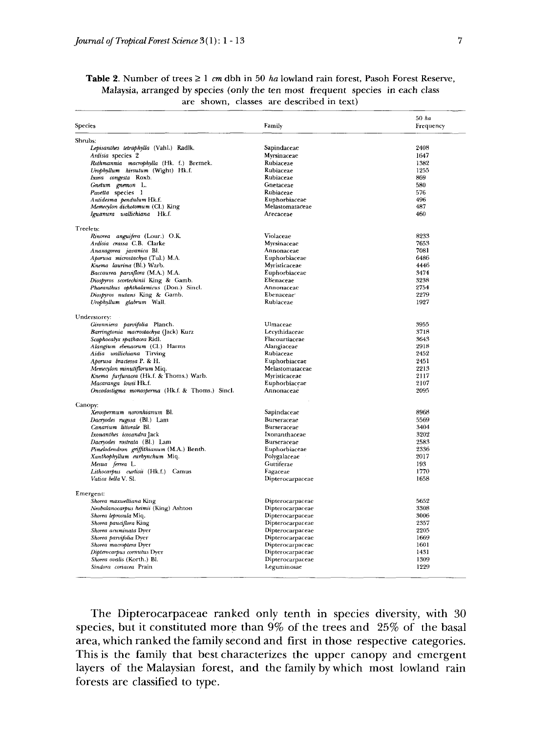| Species                                         | Family                 | 50 ha<br>Frequency |
|-------------------------------------------------|------------------------|--------------------|
|                                                 |                        |                    |
| Shrubs:                                         |                        |                    |
| Lepisanthes tetraphylla (Vahl.) Radlk.          | Sapindaceae            | 2408               |
| Ardisia species 2                               | Myrsinaceae            | 1647               |
| Rothmannia macrophylla (Hk. f.) Bremek.         | Rubiaceae              | 1382               |
| Urophyllum hirsutum (Wight) Hk.f.               | Rubiaceae              | 1255               |
| Ixora congesta Roxb.                            | Rubiaceae              | 869                |
| Gnetum gnemon L.                                | Gnetaceae              | 580                |
| Pavetta species 1                               | Rubiaceae              | 576                |
| Antidesma pendulum Hk.f.                        | Euphorbiaceae          | 496                |
| Memecylon dichotomum (Cl.) King                 | Melastomataceae        | 487                |
| Iguanura wallichiana Hk.f.                      | Arecaceae              | 460                |
| Treelets:                                       |                        |                    |
| Rinorea anguifera (Lour.) O.K.                  | Violaceae              | 8233               |
| Ardisia crassa C.B. Clarke                      | Myrsinaceae            | 7653               |
| Anaxagorea javanica Bl.                         | Annonaceae             | 7081               |
| Aporusa microstachya (Tul.) M.A.                | Euphorbiaceae          | 6486               |
| Knema laurina (Bl.) Warb.                       | Myristicaceae          | 4446               |
| Baccaurea parviflora (M.A.) M.A.                | Euphorbiaceae          | 3474               |
| Diospyros scortechinii King & Gamb.             | Ebenaceae              | 3238               |
| Phaeanthus ophthalamicus (Don.) Sincl.          | Annonaceae             | 2754               |
| Diospyros nutans King & Gamb.                   | Ebenaceae <sup>®</sup> | 2279               |
| Urophyllum glabrum Wall.                        | Rubiaceae              | 1927               |
| Understorey:                                    |                        |                    |
| Gironniera parvifolia Planch.                   | Ulmaceae               | 3955               |
| Barringtonia macrostachya (Jack) Kurz           | Lecythidaceae          | 3718               |
|                                                 | Flacourtiaceae         | 3643               |
| Scaphocalyx spathacea Ridl.                     | Alangiaceae            | 2918               |
| Alangium ebenaceum (Cl.) Harms                  | Rubiaceae              | 2452               |
| Aidia wallichiana Tirving                       |                        |                    |
| Aporusa bracteosa P. & H.                       | Euphorbiaceae          | 2451               |
| Memecylon minutiflorum Miq.                     | Melastomataceae        | 2213               |
| Knema furfuracea (Hk.f. & Thoms.) Warb.         | Myristicaceae          | 2117               |
| Macaranga lowii Hk.f.                           | Euphorbiaceae          | 2107               |
| Oncodostigma monosperma (Hk.f. & Thoms.) Sincl. | Annonaceae             | 2095               |
| Canopy:                                         |                        |                    |
| Xerospermum noronhianum Bl.                     | Sapindaceae            | 8968               |
| Dacryodes rugosa (Bl.) Lam                      | Burseraceae            | 5569               |
| Canarium littorale Bl.                          | Burseraceae            | 3404               |
| Ixonanthes icosandra Jack                       | Ixonanthaceae          | 3202               |
| Dacryodes rostrata (Bl.) Lam                    | Burseraceae            | 2583               |
| Pimelodendron griffithianum (M.A.) Benth.       | Euphorbiaceae          | 2336               |
| Xanthophyllum eurhynchum Miq.                   | Polygalaceae           | 2017               |
| Mesua ferrea L.                                 | Guttiferae             | 193                |
| Lithocarpus curtisii (Hk.f.) Camus              | Fagaceae               | 1770               |
| Vatica bella V. Sl.                             | Dipterocarpaceae       | 1658               |
| Emergent:                                       |                        |                    |
| Shorea maxwelliana King                         | Dipterocarpaceae       | 5652               |
| Neobalanocarpus heimii (King) Ashton            | Dipterocarpaceae       | 3308               |
| Shorea leprosula Miq.                           | Dipterocarpaceae       | 3006               |
| Shorea pauciflora King                          | Dipterocarpaceae       | 2357               |
|                                                 |                        | 2205               |
| Shorea acuminata Dyer                           | Dipterocarpaceae       |                    |
| Shorea parvifolia Dyer                          | Dipterocarpaceae       | 1669               |
| Shorea macroptera Dyer                          | Dipterocarpaceae       | 1601               |
| Dipterocarpus cornutus Dyer                     | Dipterocarpaceae       | 1431               |
| Shorea ovalis (Korth.) Bl.                      | Dipterocarpaceae       | 1309               |
| Sindora coriacea Prain                          | Leguminosae            | 1229               |

## **Table 2.** Number of trees ≥ 1 *cm* dbh in 50 *ha* lowland rain forest, Pasoh Forest Reserve, Malaysia, arranged by species (only the ten most frequent species in each class are shown, classes are described in text)

The Dipterocarpaceae ranked only tenth in species diversity, with 30 species, but it constituted more than 9% of the trees and 25% of the basal area, which ranked the family second and first in those respective categories. This is the family that best characterizes the upper canopy and emergent layers of the Malaysian forest, and the family by which most lowland rain forests are classified to type.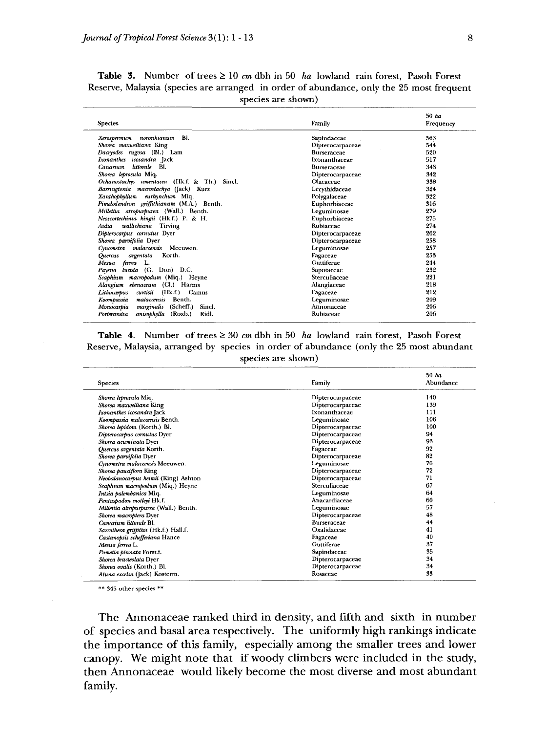|                                                 |                    | 50 ha     |  |
|-------------------------------------------------|--------------------|-----------|--|
| <b>Species</b>                                  | Family             | Frequency |  |
| noronhianum<br>BI.<br>Xerospermum               | Sapindaceae        | 563       |  |
| Shorea maxwelliana King                         | Dipterocarpaceae   | 544       |  |
| Dacryodes rugosa (Bl.) Lam                      | <b>Burseraceae</b> | 520       |  |
| Ixonanthes icosandra Jack                       | Ixonanthaceae      | 517       |  |
| littorale Bl.<br>Canarium                       | <b>Burseraceae</b> | 343       |  |
| Shorea leprosula Miq.                           | Dipterocarpaceae   | 342       |  |
| Ochanostachys amentacea (Hk.f. & Th.) Sincl.    | Olacaceae          | 338       |  |
| Barringtonia macrostachya (Jack) Kurz           | Lecythidaceae      | 324       |  |
| Xanthophyllum eurhynchum Miq                    | Polygalaceae       | 322       |  |
| Pimelodendron griffithianum (M.A.) Benth.       | Euphorbiaceae      | 316       |  |
| Millettia atropurpurea (Wall.) Benth.           | Leguminosae        | 279       |  |
| Neoscortechinia kingii (Hk.f.) P. & H.          | Euphorbiaceae      | 275       |  |
| wallichiana<br>Aidia<br>Tirving                 | Rubiaceae          | 274       |  |
| Dipterocarpus cornutus Dyer                     | Dipterocarpaceae   | 262       |  |
| Shorea parvifolia Dyer                          | Dipterocarpaceae   | 258       |  |
| Cynometra malaccensis Meeuwen.                  | Leguminosae        | 257       |  |
| Korth.<br>argentata<br>Quercus                  | Fagaceae           | 253       |  |
| ferrea<br>Mesua<br>L.                           | Guttiferae         | 244       |  |
| Payena lucida (G. Don) D.C.                     | Sapotaceae         | 232       |  |
| Scaphium macropodum (Miq.) Heyne                | Sterculiaceae      | 221       |  |
| (Cl.) Harms<br>Alangium ebenaceum               | Alangiaceae        | 218       |  |
| curtisii<br>(Hk.f.) Camus<br>Lithocarpus        | Fagaceae           | 212       |  |
| Benth.<br>malaccensis<br>Koompassia             | Leguminosae        | 209       |  |
| marginalis<br>(Scheff.)<br>Sincl.<br>Monocarpia | Annonaceae         | 206       |  |
| anisophylla<br>(Roxb.)<br>Ridl.<br>Porterandia  | Rubiaceae          | 206       |  |

**Table 3.** Number of trees  $\geq 10$  cm dbh in 50 ha lowland rain forest, Pasoh Forest Reserve, Malaysia (species are arranged in order of abundance, only the 25 most frequent species are shown)

**Table 4.** Number of trees  $\geq 30$  cm dbh in 50 *ha* lowland rain forest, Pasoh Forest Reserve, Malaysia, arranged by species in order of abundance (only the 25 most abundant species are shown)

| Species                               | Family             | $50$ ha<br>Abundance |
|---------------------------------------|--------------------|----------------------|
| Shorea leprosula Miq.                 | Dipterocarpaceae   | 140                  |
| Shorea maxwelliana King               | Dipterocarpaceae   | 139                  |
| Ixonanthes icosandra Jack             | Ixonanthaceae      | 111                  |
| Koompassia malaccensis Benth.         | Leguminosae        | 106                  |
| Shorea lepidota (Korth.) Bl.          | Dipterocarpaceae   | 100                  |
| Dipterocarpus cornutus Dyer           | Dipterocarpaceae   | 94                   |
| Shorea acuminata Dyer                 | Dipterocarpaceae   | 93                   |
| Quercus argentata Korth.              | Fagaceae           | 92                   |
| Shorea parvifolia Dyer                | Dipterocarpaceae   | 82                   |
| Cynometra malaccensis Meeuwen.        | Leguminosae        | 76                   |
| Shorea pauciflora King                | Dipterocarpaceae   | 72                   |
| Neobalanocarpus heimii (King) Ashton  | Dipterocarpaceae   | 71                   |
| Scaphium macropodum (Miq.) Heyne      | Sterculiaceae      | 67                   |
| Intsia palembanica Mio.               | Leguminosae        | 64                   |
| Pentaspadon motleyi Hk.f.             | Anacardiaceae      | 60                   |
| Millettia atropurpurea (Wall.) Benth. | Leguminosae        | 57                   |
| Shorea macroptera Dyer                | Dipterocarpaceae   | 48                   |
| Canarium littorale Bl.                | <b>Burseraceae</b> | 44                   |
| Sarcotheca griffithii (Hk.f.) Hall.f. | Oxalidaceae        | 41                   |
| Castanopsis schefferiana Hance        | Fagaceae           | 40                   |
| Mesua ferrea L.                       | Guttiferae         | 37                   |
| Pometia pinnata Forst.f.              | Sapindaceae        | 35                   |
| Shorea bracteolata Dyer               | Dipterocarpaceae   | 34                   |
| Shorea ovalis (Korth.) Bl.            | Dipterocarpaceae   | 34                   |
| Atuna excelsa (Jack) Kosterm.         | Rosaceae           | 33                   |

\*» 345 other species \*\*

The Annonaceae ranked third in density, and fifth and sixth in number of species and basal area respectively. The uniformly high rankings indicate the importance of this family, especially among the smaller trees and lower canopy. We might note that if woody climbers were included in the study, then Annonaceae would likely become the most diverse and most abundant family.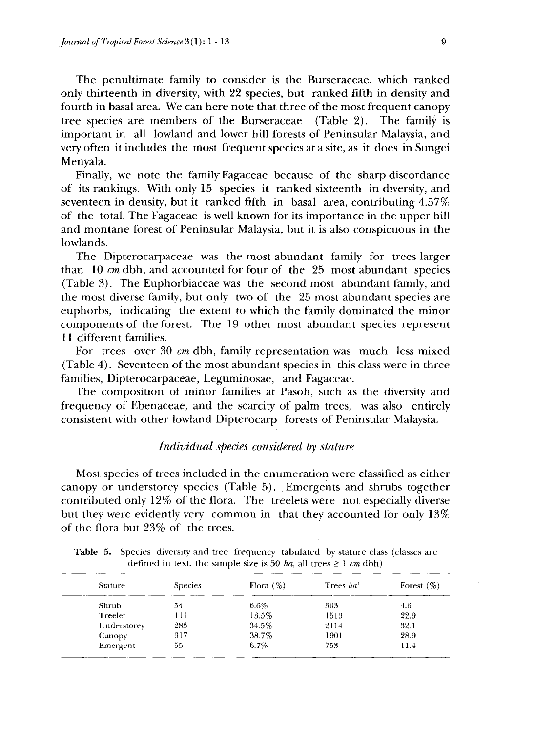The penultimate family to consider is the Burseraceae, which ranked only thirteenth in diversity, with 22 species, but ranked fifth in density and fourth in basal area. We can here note that three of the most frequent canopy tree species are members of the Burseraceae (Table 2). The family is important in all lowland and lower hill forests of Peninsular Malaysia, and very often it includes the most frequent species at a site, as it does in Sungei Menyala.

Finally, we note the family Fagaceae because of the sharp discordance of its rankings. With only 15 species it ranked sixteenth in diversity, and seventeen in density, but it ranked fifth in basal area, contributing 4.57% of the total. The Fagaceae is well known for its importance in the upper hill and montane forest of Peninsular Malaysia, but it is also conspicuous in the lowlands.

The Dipterocarpaceae was the most abundant family for trees larger than 10 *cm* dbh, and accounted for four of the 25 most abundant species (Table 3). The Euphorbiaceae was the second most abundant family, and the most diverse family, but only two of the 25 most abundant species are euphorbs, indicating the extent to which the family dominated the minor components of the forest. The 19 other most abundant species represent 11 different families.

For trees over 30 *cm* dbh, family representation was much less mixed (Table 4). Seventeen of the most abundant species in this class were in three families, Dipterocarpaceae, Leguminosae, and Fagaceae.

The composition of minor families at Pasoh, such as the diversity and frequency of Ebenaceae, and the scarcity of palm trees, was also entirely consistent with other lowland Dipterocarp forests of Peninsular Malaysia.

## *Individual species considered by stature*

Most species of trees included in the enumeration were classified as either canopy or understorey species (Table 5). Emergents and shrubs together contributed only 12% of the flora. The treelets were not especially diverse but they were evidently very common in that they accounted for only 13% of the flora but 23% of the trees.

**Table 5.** Species diversity and tree frequency tabulated by stature class (classes are defined in text, the sample size is 50 *ha*, all trees  $\geq 1$  *cm* dbh)

| <b>Stature</b> | <b>Species</b> | Flora $(\%)$ | Trees $ha^{\dagger}$ | Forest $(\%)$ |
|----------------|----------------|--------------|----------------------|---------------|
| Shrub          | 54             | $6.6\%$      | 303                  | 4.6           |
| Treelet        | 111            | 13.5%        | 1513                 | 22.9          |
| Understorey    | 283            | 34.5%        | 2114                 | 32.1          |
| Canopy         | 317            | 38.7%        | 1901                 | 28.9          |
| Emergent       | 55             | 6.7%         | 753                  | 11.4          |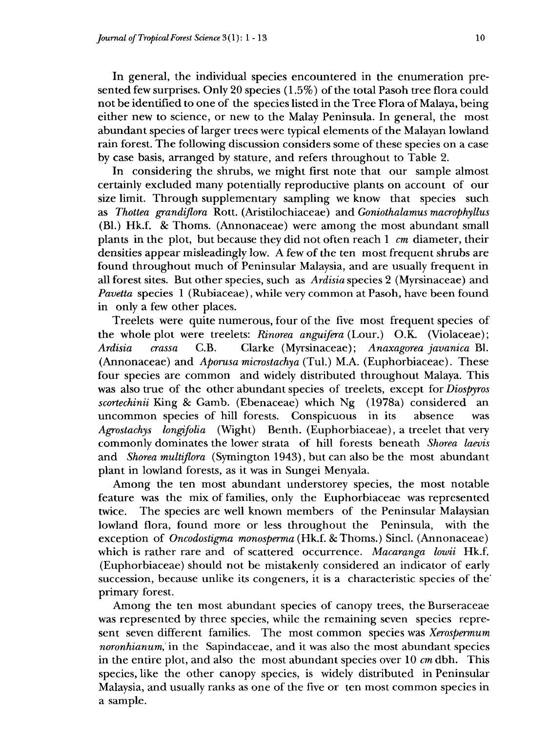In general, the individual species encountered in the enumeration presented few surprises. Only 20 species (1.5%) of the total Pasoh tree flora could not be identified to one of the species listed in the Tree Flora of Malaya, being either new to science, or new to the Malay Peninsula. In general, the most abundant species of larger trees were typical elements of the Malayan lowland rain forest. The following discussion considers some of these species on a case by case basis, arranged by stature, and refers throughout to Table 2.

In considering the shrubs, we might first note that our sample almost certainly excluded many potentially reproductive plants on account of our size limit. Through supplementary sampling we know that species such as *Thottea grandiflora* Rott. (Aristilochiaceae) and *Goniothalamus macrophyllus* (Bl.) Hk.f. & Thorns. (Annonaceae) were among the most abundant small plants in the plot, but because they did not often reach 1 *cm* diameter, their densities appear misleadingly low. A few of the ten most frequent shrubs are found throughout much of Peninsular Malaysia, and are usually frequent in all forest sites. But other species, such as *Ardisia* species 2 (Myrsinaceae) and *Pavetta* species 1 (Rubiaceae), while very common at Pasoh, have been found in only a few other places.

Treelets were quite numerous, four of the five most frequent species of the whole plot were treelets: *Rinorea anguifera* (Lour.) O.K. (Violaceae); *Ardisia crassa* C.B. Clarke (Myrsinaceae); *Anaxagorea javanica* Bl. (Annonaceae) and *Aporusa microstachya* (Tul.) M.A. (Euphorbiaceae). These four species are common and widely distributed throughout Malaya. This was also true of the other abundant species of treelets, except for *Diospyros scortechinii* King & Gamb. (Ebenaceae) which Ng (1978a) considered an uncommon species of hill forests. Conspicuous in its absence was *Agrostachys longifolia* (Wight) Benth. (Euphorbiaceae), a treelet that very commonly dominates the lower strata of hill forests beneath *Shorea laevis* and *Shorea multiflora* (Symington 1943), but can also be the most abundant plant in lowland forests, as it was in Sungei Menyala.

Among the ten most abundant understorey species, the most notable feature was the mix of families, only the Euphorbiaceae was represented twice. The species are well known members of the Peninsular Malaysian lowland flora, found more or less throughout the Peninsula, with the exception of *Oncodostigma monosperma* (Hk.f. & Thoms.) Sincl. (Annonaceae) which is rather rare and of scattered occurrence. *Macaranga lowii* Hk.f. (Euphorbiaceae) should not be mistakenly considered an indicator of early succession, because unlike its congeners, it is a characteristic species of the' primary forest.

Among the ten most abundant species of canopy trees, the Burseraceae was represented by three species, while the remaining seven species represent seven different families. The most common species was *Xerospermum noronhianum,'* in the Sapindaceae, and it was also the most abundant species in the entire plot, and also the most abundant species over 10 *cm* dbh. This species, like the other canopy species, is widely distributed in Peninsular Malaysia, and usually ranks as one of the five or ten most common species in a sample.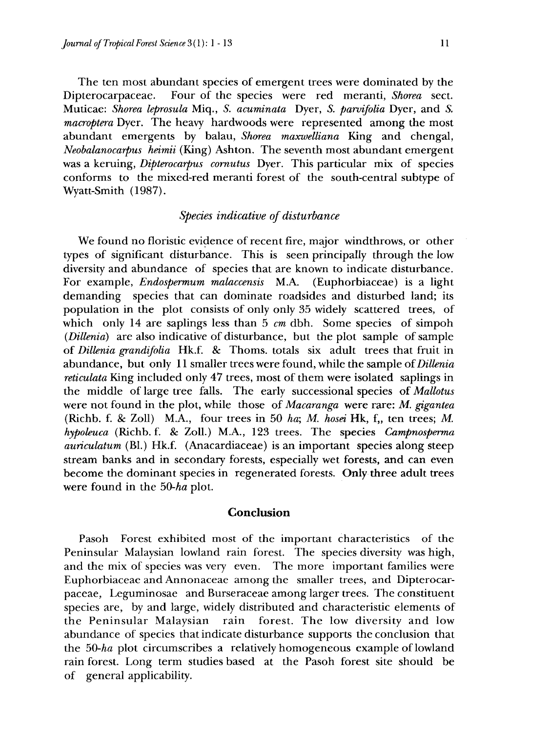The ten most abundant species of emergent trees were dominated by the Dipterocarpaceae. Four of the species were red meranti, *Shorea* sect. Muticae: *Shorea leprosula* Miq., 5. *acuminata* Dyer, 5. *parvifolia* Dyer, and *S. macroptera* Dyer. The heavy hardwoods were represented among the most abundant emergents by balau, *Shorea maxwelliana* King and chengal, *Neobalanocarpus heimii* (King) Ashton. The seventh most abundant emergent was a keruing, *Dipterocarpus cornutus* Dyer. This particular mix of species conforms to the mixed-red meranti forest of the south-central subtype of Wyatt-Smith (1987).

# *Species indicative of disturbance*

We found no floristic evidence of recent fire, major windthrows, or other types of significant disturbance. This is seen principally through the low diversity and abundance of species that are known to indicate disturbance. For example, *Endospermum malaccensis* M.A. (Euphorbiaceae) is a light demanding species that can dominate roadsides and disturbed land; its population in the plot consists of only only 35 widely scattered trees, of which only 14 are saplings less than 5 *cm* dbh. Some species of simpoh *(Dillenia)* are also indicative of disturbance, but the plot sample of sample of *Dillenia grandifolia* Hk.f. & Thorns, totals six adult trees that fruit in abundance, but only 11 smaller trees were found, while the sample *of Dillenia reticulata* King included only 47 trees, most of them were isolated saplings in the middle of large tree falls. The early successional species of *Mallotus* were not found in the plot, while those of *Macaranga* were rare: *M. gigantea* (Richb. f. & Zoll) M.A., four trees in 50 *ha; M. hosei* Hk, f,, ten trees; *M. hypoleuca* (Richb. f. & Zoll.) M.A., 123 trees. The species *Campnosperma auriculatum* (Bl.) Hk.f. (Anacardiaceae) is an important species along steep stream banks and in secondary forests, especially wet forests, and can even become the dominant species in regenerated forests. Only three adult trees were found in the *50-ha* plot.

## **Conclusion**

Pasoh Forest exhibited most of the important characteristics of the Peninsular Malaysian lowland rain forest. The species diversity was high, and the mix of species was very even. The more important families were Euphorbiaceae and Annonaceae among the smaller trees, and Dipterocarpaceae, Leguminosae and Burseraceae among larger trees. The constituent species are, by and large, widely distributed and characteristic elements of the Peninsular Malaysian rain forest. The low diversity and low abundance of species that indicate disturbance supports the conclusion that the *50-ha* plot circumscribes a relatively homogeneous example of lowland rain forest. Long term studies based at the Pasoh forest site should be of general applicability.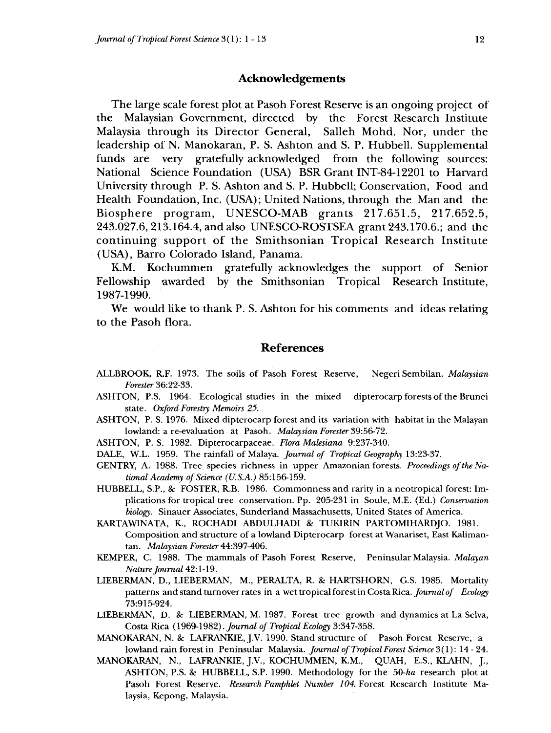#### **Acknowledgements**

The large scale forest plot at Pasoh Forest Reserve is an ongoing project of the Malaysian Government, directed by the Forest Research Institute Malaysia through its Director General, Salleh Mohd. Nor, under the leadership of N. Manokaran, P. S. Ashton and S. P. Hubbell. Supplemental funds are very gratefully acknowledged from the following sources: National Science Foundation (USA) BSR Grant INT-84-12201 to Harvard University through P. S. Ashton and S. P. Hubbell; Conservation, Food and Health Foundation, Inc. (USA); United Nations, through the Man and the Biosphere program, UNESCO-MAB grants 217.651.5, 217.652.5, 243.027.6, 213.164.4, and also UNESCO-ROSTSEA grant 243.170.6.; and the continuing support of the Smithsonian Tropical Research Institute (USA), Barro Colorado Island, Panama.

K.M. Kochummen gratefully acknowledges the support of Senior Fellowship awarded by the Smithsonian Tropical Research Institute, 1987-1990.

We would like to thank P. S. Ashton for his comments and ideas relating to the Pasoh flora.

## **References**

- ALLBROOK, R.F. 1973. The soils of Pasoh Forest Reserve, Negeri Sembilan. *Malaysian Forester* 36:22-33.
- ASHTON, P.S. 1964. Ecological studies in the mixed dipterocarp forests of the Brunei state. *Oxford Forestry Memoirs 25.*
- ASHTON, P. S. 1976. Mixed dipterocarp forest and its variation with habitat in the Malayan lowland: a re-evaluation at Pasoh. *Malaysian Forester* 39:56-72.
- ASHTON, P. S. 1982. Dipterocarpaceae. *Flora Malesiana* 9:237-340.
- DALE, W.L. 1959. The rainfall of Malaya. *Journal of Tropical Geography* 13:23-37.
- GENTRY, A. 1988. Tree species richness in upper Amazonian forests. *Proceedings of the National Academy of Science (U.S.A.)* 85:156-159.
- HUBBELL, S.P., & FOSTER, R.B. 1986. Commonness and rarity in a neotropical forest: Implications for tropical tree conservation. Pp. 205-231 in Soule, M.E. (Ed.) *Conservation biology.* Sinauer Associates, Sunderland Massachusetts, United States of America.
- KARTAWINATA, K., ROCHADI ABDULHADI & TUKIRIN PARTOMIHARDJO. 1981. Composition and structure of a lowland Dipterocarp forest at Wanariset, East Kalimantan. *Malaysian Forester* 44:397-406.
- KEMPER, C. 1988. The mammals of Pasoh Forest Reserve, Peninsular Malaysia. *Malayan Nature Journal* 42:1-19.
- LIEBERMAN, D., LIEBERMAN, M., PERALTA, R. & HARTSHORN, G.S. 1985. Mortality patterns and stand turnover rates in a wet tropical forest in Costa Rica. *Journal of Ecology* 73:915-924.
- LIEBERMAN, D. & LIEBERMAN, M. 1987. Forest tree growth and dynamics at La Selva, Costa Rica (1969-1982). *Journal of Tropical Ecology* 3:347-358.
- MANOKARAN, N. & LAFRANKIE, J.V. 1990. Stand structure of Pasoh Forest Reserve, a lowland rain forest in Peninsular Malaysia. *Journal of Tropical Forest Science* 3(1): 14 - 24.
- MANOKARAN, N., LAFRANKIE, J.V., KOCHUMMEN, K.M., QUAH, E.S., KLAHN, J., ASHTON, P.S. & HUBBELL, S.P. 1990. Methodology for the *50-ha* research plot at Pasoh Forest Reserve. *Research Pamphlet Number 104.* Forest Research Institute Malaysia, Kepong, Malaysia.